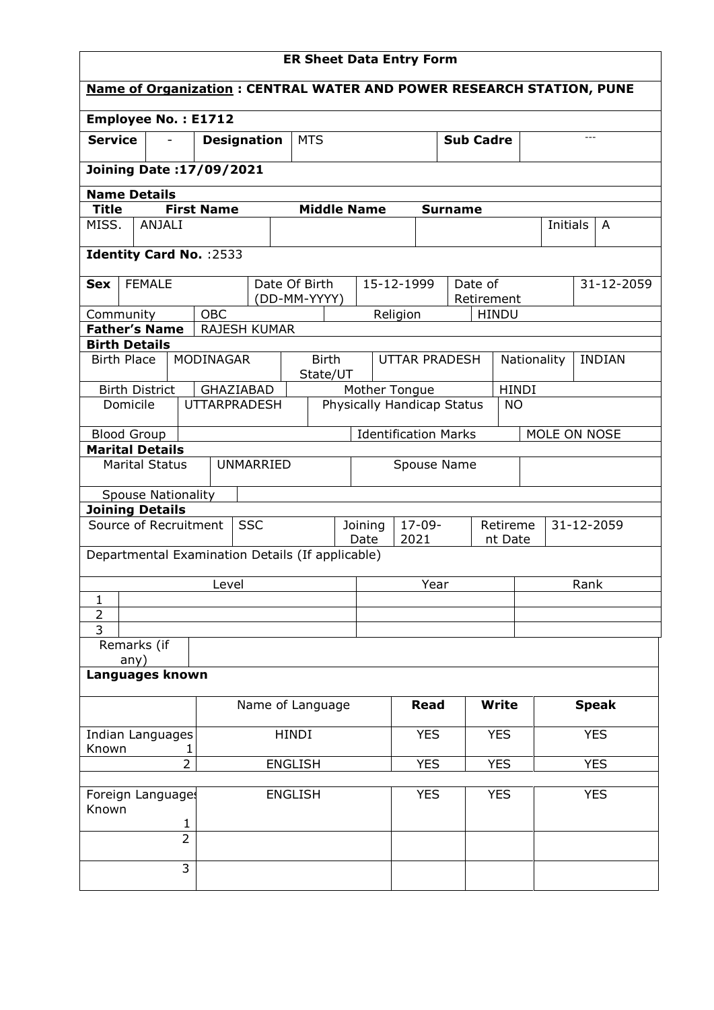| <b>Name of Organization: CENTRAL WATER AND POWER RESEARCH STATION, PUNE</b><br>Employee No.: E1712<br><b>Service</b><br><b>Designation</b><br><b>MTS</b><br><b>Sub Cadre</b><br><b>Joining Date: 17/09/2021</b><br><b>Name Details</b><br><b>First Name</b><br><b>Middle Name</b><br><b>Title</b><br><b>Surname</b><br>ANJALI<br>Initials<br>MISS.<br>$\mathsf{A}$<br>Identity Card No. : 2533<br><b>FEMALE</b><br>15-12-1999<br>31-12-2059<br>Date Of Birth<br>Date of<br><b>Sex</b><br>(DD-MM-YYYY)<br>Retirement<br><b>OBC</b><br><b>HINDU</b><br>Community<br>Religion<br><b>Father's Name</b><br><b>RAJESH KUMAR</b><br><b>Birth Details</b><br>MODINAGAR<br><b>Birth</b><br><b>Birth Place</b><br><b>UTTAR PRADESH</b><br>Nationality<br><b>INDIAN</b><br>State/UT<br>GHAZIABAD<br>Mother Tongue<br><b>HINDI</b><br><b>Birth District</b><br>Physically Handicap Status<br>Domicile<br><b>UTTARPRADESH</b><br><b>NO</b><br><b>Identification Marks</b><br>MOLE ON NOSE<br><b>Blood Group</b><br><b>Marital Details</b><br><b>UNMARRIED</b><br><b>Marital Status</b><br>Spouse Name<br><b>Spouse Nationality</b><br><b>Joining Details</b><br>Source of Recruitment<br><b>SSC</b><br>$17 - 09 -$<br>Retireme<br>31-12-2059<br>Joining<br>2021<br>Date<br>nt Date |  |  |  |  |  |  |  |  |
|-----------------------------------------------------------------------------------------------------------------------------------------------------------------------------------------------------------------------------------------------------------------------------------------------------------------------------------------------------------------------------------------------------------------------------------------------------------------------------------------------------------------------------------------------------------------------------------------------------------------------------------------------------------------------------------------------------------------------------------------------------------------------------------------------------------------------------------------------------------------------------------------------------------------------------------------------------------------------------------------------------------------------------------------------------------------------------------------------------------------------------------------------------------------------------------------------------------------------------------------------------------------------|--|--|--|--|--|--|--|--|
|                                                                                                                                                                                                                                                                                                                                                                                                                                                                                                                                                                                                                                                                                                                                                                                                                                                                                                                                                                                                                                                                                                                                                                                                                                                                       |  |  |  |  |  |  |  |  |
|                                                                                                                                                                                                                                                                                                                                                                                                                                                                                                                                                                                                                                                                                                                                                                                                                                                                                                                                                                                                                                                                                                                                                                                                                                                                       |  |  |  |  |  |  |  |  |
|                                                                                                                                                                                                                                                                                                                                                                                                                                                                                                                                                                                                                                                                                                                                                                                                                                                                                                                                                                                                                                                                                                                                                                                                                                                                       |  |  |  |  |  |  |  |  |
|                                                                                                                                                                                                                                                                                                                                                                                                                                                                                                                                                                                                                                                                                                                                                                                                                                                                                                                                                                                                                                                                                                                                                                                                                                                                       |  |  |  |  |  |  |  |  |
|                                                                                                                                                                                                                                                                                                                                                                                                                                                                                                                                                                                                                                                                                                                                                                                                                                                                                                                                                                                                                                                                                                                                                                                                                                                                       |  |  |  |  |  |  |  |  |
|                                                                                                                                                                                                                                                                                                                                                                                                                                                                                                                                                                                                                                                                                                                                                                                                                                                                                                                                                                                                                                                                                                                                                                                                                                                                       |  |  |  |  |  |  |  |  |
|                                                                                                                                                                                                                                                                                                                                                                                                                                                                                                                                                                                                                                                                                                                                                                                                                                                                                                                                                                                                                                                                                                                                                                                                                                                                       |  |  |  |  |  |  |  |  |
|                                                                                                                                                                                                                                                                                                                                                                                                                                                                                                                                                                                                                                                                                                                                                                                                                                                                                                                                                                                                                                                                                                                                                                                                                                                                       |  |  |  |  |  |  |  |  |
|                                                                                                                                                                                                                                                                                                                                                                                                                                                                                                                                                                                                                                                                                                                                                                                                                                                                                                                                                                                                                                                                                                                                                                                                                                                                       |  |  |  |  |  |  |  |  |
|                                                                                                                                                                                                                                                                                                                                                                                                                                                                                                                                                                                                                                                                                                                                                                                                                                                                                                                                                                                                                                                                                                                                                                                                                                                                       |  |  |  |  |  |  |  |  |
|                                                                                                                                                                                                                                                                                                                                                                                                                                                                                                                                                                                                                                                                                                                                                                                                                                                                                                                                                                                                                                                                                                                                                                                                                                                                       |  |  |  |  |  |  |  |  |
|                                                                                                                                                                                                                                                                                                                                                                                                                                                                                                                                                                                                                                                                                                                                                                                                                                                                                                                                                                                                                                                                                                                                                                                                                                                                       |  |  |  |  |  |  |  |  |
|                                                                                                                                                                                                                                                                                                                                                                                                                                                                                                                                                                                                                                                                                                                                                                                                                                                                                                                                                                                                                                                                                                                                                                                                                                                                       |  |  |  |  |  |  |  |  |
|                                                                                                                                                                                                                                                                                                                                                                                                                                                                                                                                                                                                                                                                                                                                                                                                                                                                                                                                                                                                                                                                                                                                                                                                                                                                       |  |  |  |  |  |  |  |  |
|                                                                                                                                                                                                                                                                                                                                                                                                                                                                                                                                                                                                                                                                                                                                                                                                                                                                                                                                                                                                                                                                                                                                                                                                                                                                       |  |  |  |  |  |  |  |  |
|                                                                                                                                                                                                                                                                                                                                                                                                                                                                                                                                                                                                                                                                                                                                                                                                                                                                                                                                                                                                                                                                                                                                                                                                                                                                       |  |  |  |  |  |  |  |  |
|                                                                                                                                                                                                                                                                                                                                                                                                                                                                                                                                                                                                                                                                                                                                                                                                                                                                                                                                                                                                                                                                                                                                                                                                                                                                       |  |  |  |  |  |  |  |  |
|                                                                                                                                                                                                                                                                                                                                                                                                                                                                                                                                                                                                                                                                                                                                                                                                                                                                                                                                                                                                                                                                                                                                                                                                                                                                       |  |  |  |  |  |  |  |  |
|                                                                                                                                                                                                                                                                                                                                                                                                                                                                                                                                                                                                                                                                                                                                                                                                                                                                                                                                                                                                                                                                                                                                                                                                                                                                       |  |  |  |  |  |  |  |  |
|                                                                                                                                                                                                                                                                                                                                                                                                                                                                                                                                                                                                                                                                                                                                                                                                                                                                                                                                                                                                                                                                                                                                                                                                                                                                       |  |  |  |  |  |  |  |  |
|                                                                                                                                                                                                                                                                                                                                                                                                                                                                                                                                                                                                                                                                                                                                                                                                                                                                                                                                                                                                                                                                                                                                                                                                                                                                       |  |  |  |  |  |  |  |  |
|                                                                                                                                                                                                                                                                                                                                                                                                                                                                                                                                                                                                                                                                                                                                                                                                                                                                                                                                                                                                                                                                                                                                                                                                                                                                       |  |  |  |  |  |  |  |  |
|                                                                                                                                                                                                                                                                                                                                                                                                                                                                                                                                                                                                                                                                                                                                                                                                                                                                                                                                                                                                                                                                                                                                                                                                                                                                       |  |  |  |  |  |  |  |  |
| Departmental Examination Details (If applicable)                                                                                                                                                                                                                                                                                                                                                                                                                                                                                                                                                                                                                                                                                                                                                                                                                                                                                                                                                                                                                                                                                                                                                                                                                      |  |  |  |  |  |  |  |  |
| Rank<br>Year<br>Level                                                                                                                                                                                                                                                                                                                                                                                                                                                                                                                                                                                                                                                                                                                                                                                                                                                                                                                                                                                                                                                                                                                                                                                                                                                 |  |  |  |  |  |  |  |  |
| $\mathbf{1}$                                                                                                                                                                                                                                                                                                                                                                                                                                                                                                                                                                                                                                                                                                                                                                                                                                                                                                                                                                                                                                                                                                                                                                                                                                                          |  |  |  |  |  |  |  |  |
| $\overline{2}$                                                                                                                                                                                                                                                                                                                                                                                                                                                                                                                                                                                                                                                                                                                                                                                                                                                                                                                                                                                                                                                                                                                                                                                                                                                        |  |  |  |  |  |  |  |  |
| $\overline{3}$                                                                                                                                                                                                                                                                                                                                                                                                                                                                                                                                                                                                                                                                                                                                                                                                                                                                                                                                                                                                                                                                                                                                                                                                                                                        |  |  |  |  |  |  |  |  |
| Remarks (if                                                                                                                                                                                                                                                                                                                                                                                                                                                                                                                                                                                                                                                                                                                                                                                                                                                                                                                                                                                                                                                                                                                                                                                                                                                           |  |  |  |  |  |  |  |  |
| any)<br>Languages known                                                                                                                                                                                                                                                                                                                                                                                                                                                                                                                                                                                                                                                                                                                                                                                                                                                                                                                                                                                                                                                                                                                                                                                                                                               |  |  |  |  |  |  |  |  |
|                                                                                                                                                                                                                                                                                                                                                                                                                                                                                                                                                                                                                                                                                                                                                                                                                                                                                                                                                                                                                                                                                                                                                                                                                                                                       |  |  |  |  |  |  |  |  |
| Name of Language<br><b>Write</b><br><b>Speak</b><br><b>Read</b>                                                                                                                                                                                                                                                                                                                                                                                                                                                                                                                                                                                                                                                                                                                                                                                                                                                                                                                                                                                                                                                                                                                                                                                                       |  |  |  |  |  |  |  |  |
| <b>YES</b><br><b>YES</b><br><b>YES</b><br>Indian Languages<br><b>HINDI</b><br>Known<br>1                                                                                                                                                                                                                                                                                                                                                                                                                                                                                                                                                                                                                                                                                                                                                                                                                                                                                                                                                                                                                                                                                                                                                                              |  |  |  |  |  |  |  |  |
| $\overline{2}$<br><b>YES</b><br><b>YES</b><br><b>ENGLISH</b><br><b>YES</b>                                                                                                                                                                                                                                                                                                                                                                                                                                                                                                                                                                                                                                                                                                                                                                                                                                                                                                                                                                                                                                                                                                                                                                                            |  |  |  |  |  |  |  |  |
|                                                                                                                                                                                                                                                                                                                                                                                                                                                                                                                                                                                                                                                                                                                                                                                                                                                                                                                                                                                                                                                                                                                                                                                                                                                                       |  |  |  |  |  |  |  |  |
| <b>YES</b><br><b>YES</b><br><b>YES</b><br><b>ENGLISH</b><br>Foreign Language:<br>Known                                                                                                                                                                                                                                                                                                                                                                                                                                                                                                                                                                                                                                                                                                                                                                                                                                                                                                                                                                                                                                                                                                                                                                                |  |  |  |  |  |  |  |  |
| 1<br>$\overline{2}$                                                                                                                                                                                                                                                                                                                                                                                                                                                                                                                                                                                                                                                                                                                                                                                                                                                                                                                                                                                                                                                                                                                                                                                                                                                   |  |  |  |  |  |  |  |  |
|                                                                                                                                                                                                                                                                                                                                                                                                                                                                                                                                                                                                                                                                                                                                                                                                                                                                                                                                                                                                                                                                                                                                                                                                                                                                       |  |  |  |  |  |  |  |  |
| 3                                                                                                                                                                                                                                                                                                                                                                                                                                                                                                                                                                                                                                                                                                                                                                                                                                                                                                                                                                                                                                                                                                                                                                                                                                                                     |  |  |  |  |  |  |  |  |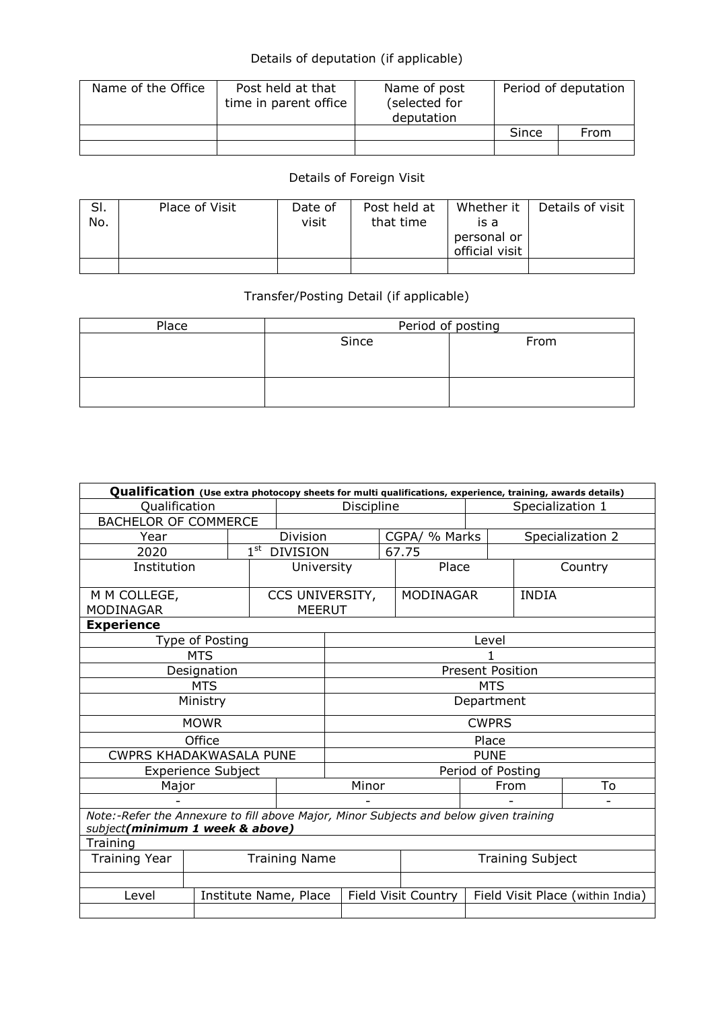### Details of deputation (if applicable)

| Name of the Office | Post held at that<br>time in parent office | Name of post<br>(selected for<br>deputation | Period of deputation |      |
|--------------------|--------------------------------------------|---------------------------------------------|----------------------|------|
|                    |                                            |                                             | Since                | From |
|                    |                                            |                                             |                      |      |

# Details of Foreign Visit

| SI.<br>No. | Place of Visit | Date of<br>visit | Post held at<br>that time | Whether it<br>is a<br>personal or<br>official visit | Details of visit |
|------------|----------------|------------------|---------------------------|-----------------------------------------------------|------------------|
|            |                |                  |                           |                                                     |                  |

# Transfer/Posting Detail (if applicable)

| Place | Period of posting |      |  |  |  |  |  |  |
|-------|-------------------|------|--|--|--|--|--|--|
|       | Since             | From |  |  |  |  |  |  |
|       |                   |      |  |  |  |  |  |  |
|       |                   |      |  |  |  |  |  |  |
|       |                   |      |  |  |  |  |  |  |
|       |                   |      |  |  |  |  |  |  |

|                                                                                                                          | Discipline           |                                 |                                  | Qualification (Use extra photocopy sheets for multi qualifications, experience, training, awards details)<br>Specialization 1 |                     |       |                  |                                  |
|--------------------------------------------------------------------------------------------------------------------------|----------------------|---------------------------------|----------------------------------|-------------------------------------------------------------------------------------------------------------------------------|---------------------|-------|------------------|----------------------------------|
| Qualification                                                                                                            |                      |                                 |                                  |                                                                                                                               |                     |       |                  |                                  |
| <b>BACHELOR OF COMMERCE</b>                                                                                              |                      |                                 |                                  |                                                                                                                               |                     |       |                  |                                  |
| Year                                                                                                                     |                      | Division                        |                                  |                                                                                                                               | CGPA/ % Marks       |       | Specialization 2 |                                  |
| 2020                                                                                                                     |                      | $1^{\rm st}$<br><b>DIVISION</b> |                                  |                                                                                                                               | 67.75               |       |                  |                                  |
| Institution                                                                                                              |                      |                                 | University                       |                                                                                                                               | Place               |       | Country          |                                  |
| M M COLLEGE,<br><b>MODINAGAR</b>                                                                                         |                      |                                 | CCS UNIVERSITY,<br><b>MEERUT</b> |                                                                                                                               | <b>MODINAGAR</b>    |       | <b>INDIA</b>     |                                  |
| <b>Experience</b>                                                                                                        |                      |                                 |                                  |                                                                                                                               |                     |       |                  |                                  |
|                                                                                                                          | Type of Posting      |                                 |                                  |                                                                                                                               |                     | Level |                  |                                  |
| <b>MTS</b>                                                                                                               |                      |                                 |                                  |                                                                                                                               |                     |       |                  |                                  |
| Designation                                                                                                              |                      |                                 | <b>Present Position</b>          |                                                                                                                               |                     |       |                  |                                  |
| <b>MTS</b>                                                                                                               |                      |                                 | <b>MTS</b>                       |                                                                                                                               |                     |       |                  |                                  |
| Ministry                                                                                                                 |                      |                                 | Department                       |                                                                                                                               |                     |       |                  |                                  |
| <b>MOWR</b>                                                                                                              |                      |                                 | <b>CWPRS</b>                     |                                                                                                                               |                     |       |                  |                                  |
| Office                                                                                                                   |                      |                                 |                                  |                                                                                                                               |                     | Place |                  |                                  |
| <b>CWPRS KHADAKWASALA PUNE</b>                                                                                           | <b>PUNE</b>          |                                 |                                  |                                                                                                                               |                     |       |                  |                                  |
| Period of Posting<br><b>Experience Subject</b>                                                                           |                      |                                 |                                  |                                                                                                                               |                     |       |                  |                                  |
| Major                                                                                                                    |                      |                                 | Minor<br>From                    |                                                                                                                               |                     | To    |                  |                                  |
|                                                                                                                          |                      |                                 |                                  |                                                                                                                               |                     |       |                  |                                  |
| Note:-Refer the Annexure to fill above Major, Minor Subjects and below given training<br>subject(minimum 1 week & above) |                      |                                 |                                  |                                                                                                                               |                     |       |                  |                                  |
| Training                                                                                                                 |                      |                                 |                                  |                                                                                                                               |                     |       |                  |                                  |
| <b>Training Year</b>                                                                                                     | <b>Training Name</b> |                                 |                                  | <b>Training Subject</b>                                                                                                       |                     |       |                  |                                  |
|                                                                                                                          |                      |                                 |                                  |                                                                                                                               |                     |       |                  |                                  |
| Level                                                                                                                    |                      | Institute Name, Place           |                                  |                                                                                                                               | Field Visit Country |       |                  | Field Visit Place (within India) |
|                                                                                                                          |                      |                                 |                                  |                                                                                                                               |                     |       |                  |                                  |